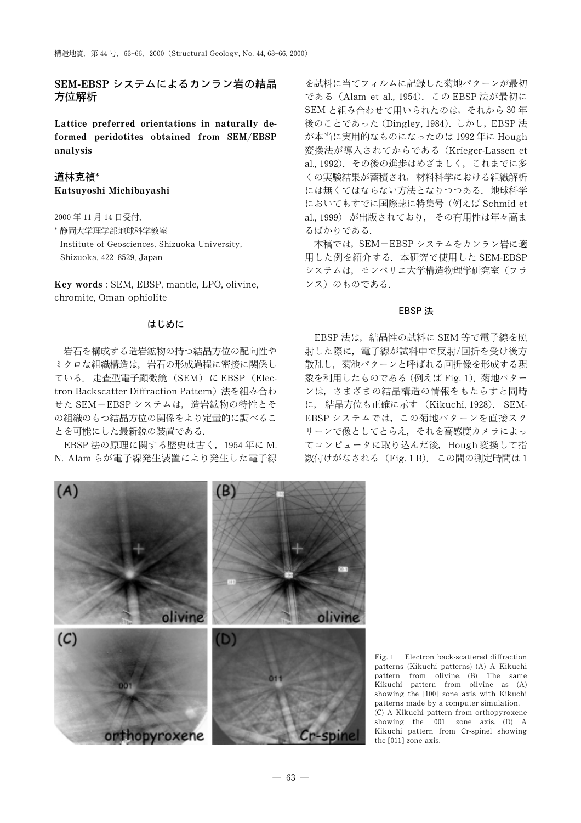# SEM-EBSP システムによるカンラン岩の結晶 方位解析

Lattice preferred orientations in naturally deformed peridotites obtained from SEM/EBSP analysis

# 道林克禎\* Katsuyoshi Michibayashi

2000年11月14日受付. \* 静岡大学理学部地球科学教室 Institute of Geosciences, Shizuoka University, Shizuoka, 422-8529, Japan

Key words: SEM. EBSP. mantle. LPO. olivine. chromite, Oman ophiolite

### はじめに

岩石を構成する造岩鉱物の持つ結晶方位の配向性や ミクロな組織構造は、岩石の形成過程に密接に関係し ている. 走査型電子顕微鏡 (SEM) に EBSP (Electron Backscatter Diffraction Pattern)法を組み合わ せた SEM-EBSP システムは、造岩鉱物の特性とそ の組織のもつ結晶方位の関係をより定量的に調べるこ とを可能にした最新鋭の装置である.

EBSP法の原理に関する歴史は古く、1954年にM. N. Alam らが電子線発生装置により発生した電子線

を試料に当てフィルムに記録した菊地パターンが最初 である (Alam et al., 1954). この EBSP 法が最初に SEM と組み合わせて用いられたのは、それから30年 後のことであった (Dingley, 1984). しかし, EBSP 法 が本当に実用的なものになったのは 1992年に Hough 変換法が導入されてからである (Krieger-Lassen et al., 1992). その後の進歩はめざましく、これまでに多 くの実験結果が蓄積され、材料科学における組織解析 には無くてはならない方法となりつつある。地球科学 においてもすでに国際誌に特集号(例えば Schmid et al., 1999) が出版されており、 その有用性は年々高ま るばかりである.

本稿では、SEM-EBSP システムをカンラン岩に適 用した例を紹介する. 本研究で使用した SEM-EBSP システムは、モンペリエ大学構造物理学研究室(フラ ンス)のものである.

## EBSP 法

EBSP 法は、結晶性の試料に SEM 等で電子線を照 射した際に、 雷子線が試料中で反射/回折を受け後方 散乱し、菊池パターンと呼ばれる回折像を形成する現 象を利用したものである (例えば Fig. 1). 菊地パター ンは、さまざまの結晶構造の情報をもたらすと同時 に、結晶方位も正確に示す (Kikuchi, 1928). SEM-EBSP システムでは、この菊地パターンを直接スク リーンで像としてとらえ、それを高感度カメラによっ てコンピュータに取り込んだ後、Hough 変換して指 数付けがなされる (Fig. 1B). この間の測定時間は1



Fig. 1 Electron back-scattered diffraction patterns (Kikuchi patterns) (A) A Kikuchi pattern from olivine. (B) The same Kikuchi pattern from olivine as (A) showing the [100] zone axis with Kikuchi patterns made by a computer simulation. (C) A Kikuchi pattern from orthopyroxene showing the [001] zone axis. (D) A Kikuchi pattern from Cr-spinel showing the [011] zone axis.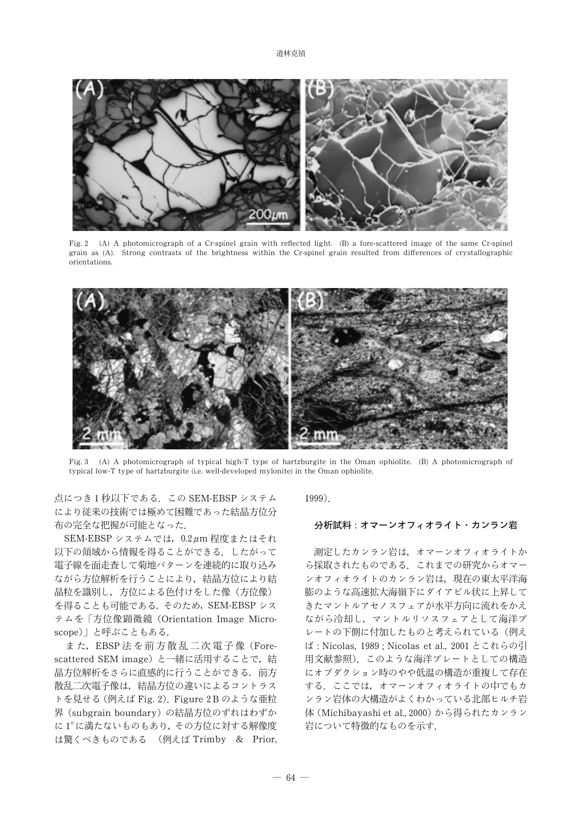道林克禎



Fig. 2 (A) A photomicrograph of a Cr-spinel grain with reflected light. (B) a fore-scattered image of the same Cr-spinel grain as (A). Strong contrasts of the brightness within the Cr-spinel grain resulted from differences of crystallographic orientations.



(A) A photomicrograph of typical high-T type of hartzburgite in the Oman ophiolite. (B) A photomicrograph of  $Fig. 3$ typical low-T type of hartzburgite (i.e. well-developed mylonite) in the Oman ophiolite.

点につき1秒以下である. この SEM-EBSP システム により従来の技術では極めて困難であった結晶方位分 布の完全な把握が可能となった.

SEM-EBSP システムでは、0.2μm程度またはそれ 以下の領域から情報を得ることができる。したがって 電子線を面走査して菊地パターンを連続的に取り込み ながら方位解析を行うことにより、結晶方位により結 晶粒を識別し、方位による色付けをした像(方位像) を得ることも可能である. そのため, SEM-EBSP シス テムを「方位像顕微鏡 (Orientation Image Microscope)」と呼ぶこともある.

また, EBSP 法を前方散乱二次電子像 (Forescattered SEM image) と一緒に活用することで、結 晶方位解析をさらに直感的に行うことができる。前方 散乱二次電子像は、結晶方位の違いによるコントラス トを見せる (例えば Fig. 2). Figure 2B のような亜粒 界 (subgrain boundary)の結晶方位のずれはわずか に1°に満たないものもあり、その方位に対する解像度 は驚くべきものである (例えば Trimby & Prior,  $1999$ ).

# 分析試料:オマーンオフィオライト・カンラン岩

測定したカンラン岩は、オマーンオフィオライトか ら採取されたものである。これまでの研究からオマー ンオフィオライトのカンラン岩は、現在の東太平洋海 膨のような高速拡大海嶺下にダイアピル状に上昇して きたマントルアセノスフェアが水平方向に流れをかえ ながら冷却し、マントルリソスフェアとして海洋プ レートの下側に付加したものと考えられている(例え ば: Nicolas, 1989; Nicolas et al., 2001 とこれらの引 用文献参照). このような海洋プレートとしての構造 にオブダクション時のやや低温の構造が重複して存在 する。ここでは、オマーンオフィオライトの中でもカ ンラン岩体の大構造がよくわかっている北部ヒルチ岩 体 (Michibayashi et al., 2000) から得られたカンラン 岩について特徴的なものを示す.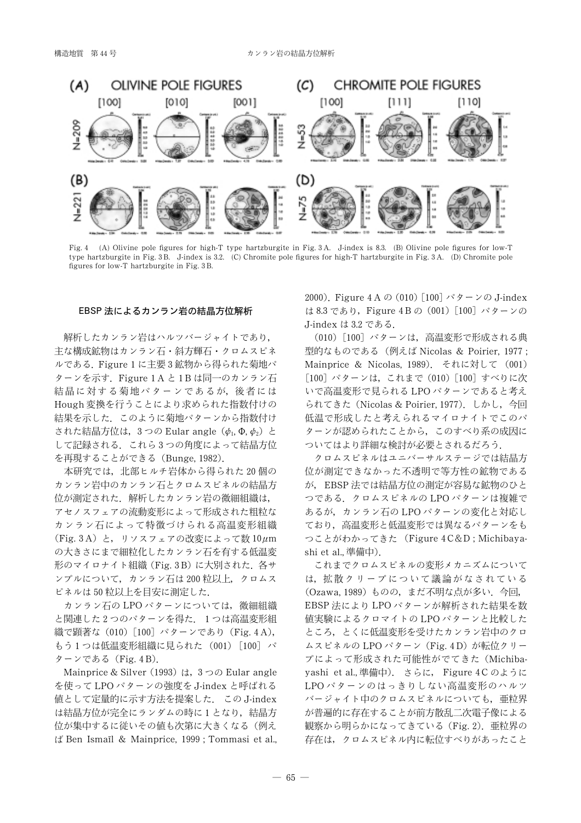

Fig. 4 (A) Olivine pole figures for high-T type hartzburgite in Fig. 3A. J-index is 8.3. (B) Olivine pole figures for low-T type hartzburgite in Fig. 3B. J-index is 3.2. (C) Chromite pole figures for high-T hartzburgite in Fig. 3A. (D) Chromite pole figures for low-T hartzburgite in Fig. 3B.

#### EBSP 法によるカンラン岩の結晶方位解析

解析したカンラン岩はハルツバージャイトであり、 主な構成鉱物はカンラン石・斜方輝石・クロムスピネ ルである. Figure 1 に主要3鉱物から得られた菊地パ ターンを示す. Figure 1A と 1B は同一のカンラン石 結晶に対する菊地パターンであるが、後者には Hough 変換を行うことにより求められた指数付けの 結果を示した。このように菊地パターンから指数付け された結晶方位は、3つの Eular angle  $(\phi_1, \Phi, \phi_2)$  と して記録される. これら3つの角度によって結晶方位 を再現することができる (Bunge, 1982).

本研究では、北部ヒルチ岩体から得られた20個の カンラン岩中のカンラン石とクロムスピネルの結晶方 位が測定された. 解析したカンラン岩の微細組織は, アセノスフェアの流動変形によって形成された粗粒な カンラン石によって特徴づけられる高温変形組織 (Fig. 3A) と、リソスフェアの改変によって数 10 $\mu$ m の大きさにまで細粒化したカンラン石を有する低温変 形のマイロナイト組織 (Fig. 3B) に大別された. 各サ ンプルについて、カンラン石は200粒以上、クロムス ピネルは50粒以上を目安に測定した.

カンラン石の LPO パターンについては、微細組織 と関連した2つのパターンを得た. 1つは高温変形組 織で顕著な (010) [100] パターンであり (Fig. 4 A), もう1つは低温変形組織に見られた (001) [100] パ ターンである (Fig. 4B).

Mainprice & Silver (1993) は、3つの Eular angle を使って LPO パターンの強度を J-index と呼ばれる 値として定量的に示す方法を提案した. この J-index は結晶方位が完全にランダムの時に1となり、結晶方 位が集中するに従いその値も次第に大きくなる(例え ば Ben Ismail & Mainprice, 1999 ; Tommasi et al., 2000). Figure 4 A  $\odot$  (010) [100]  $\sqrt{9} - \sqrt{0}$  J-index は8.3 であり, Figure 4Bの (001) [100] パターンの J-index は 3.2 である.

(010) [100] パターンは、高温変形で形成される典 型的なものである (例えば Nicolas & Poirier, 1977; Mainprice & Nicolas, 1989). それに対して (001) [100] パターンは、これまで (010) [100] すべりに次 いで高温変形で見られる LPO パターンであると考え られてきた (Nicolas & Poirier, 1977). しかし、今回 低温で形成したと考えられるマイロナイトでこのパ ターンが認められたことから、このすべり系の成因に ついてはより詳細な検討が必要とされるだろう.

クロムスピネルはユニバーサルステージでは結晶方 位が測定できなかった不透明で等方性の鉱物である が、EBSP法では結晶方位の測定が容易な鉱物のひと つである. クロムスピネルの LPO パターンは複雑で あるが、カンラン石のLPOパターンの変化と対応し ており、高温変形と低温変形では異なるパターンをも つことがわかってきた (Figure 4C&D; Michibayashi et al., 準備中).

これまでクロムスピネルの変形メカニズムについて は、拡散クリープについて議論がなされている (Ozawa, 1989) ものの, まだ不明な点が多い. 今回, EBSP 法により LPO パターンが解析された結果を数 値実験によるクロマイトの LPO パターンと比較した ところ、とくに低温変形を受けたカンラン岩中のクロ ムスピネルの LPO パターン (Fig. 4D) が転位クリー プによって形成された可能性がでてきた (Michibayashi et al., 準備中). さらに, Figure 4Cのように LPOパターンのはっきりしない高温変形のハルツ バージャイト中のクロムスピネルについても、亜粒界 が普遍的に存在することが前方散乱二次電子像による 観察から明らかになってきている (Fig. 2). 亜粒界の 存在は、クロムスピネル内に転位すべりがあったこと